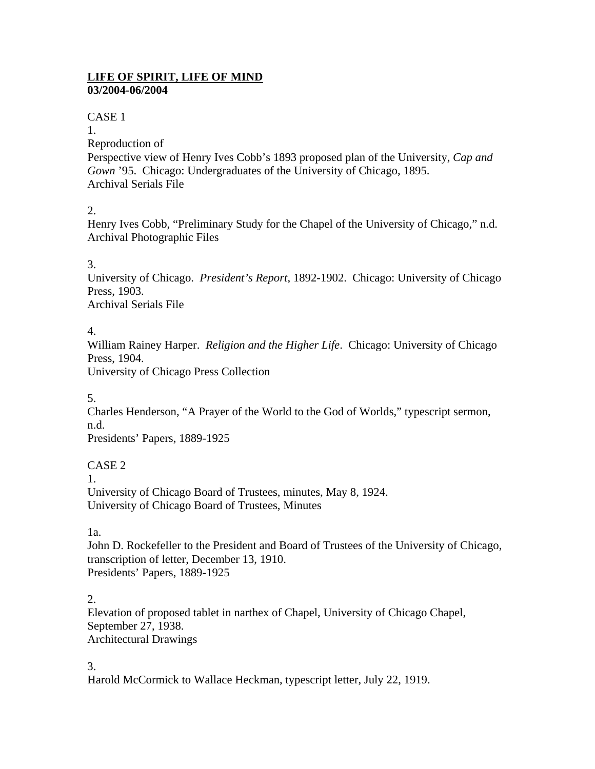### **LIFE OF SPIRIT, LIFE OF MIND 03/2004-06/2004**

### CASE 1

1.

Reproduction of Perspective view of Henry Ives Cobb's 1893 proposed plan of the University, *Cap and Gown* '95. Chicago: Undergraduates of the University of Chicago, 1895. Archival Serials File

2.

Henry Ives Cobb, "Preliminary Study for the Chapel of the University of Chicago," n.d. Archival Photographic Files

3.

University of Chicago. *President's Report*, 1892-1902. Chicago: University of Chicago Press, 1903. Archival Serials File

4.

William Rainey Harper. *Religion and the Higher Life*. Chicago: University of Chicago Press, 1904.

University of Chicago Press Collection

5.

Charles Henderson, "A Prayer of the World to the God of Worlds," typescript sermon, n.d.

Presidents' Papers, 1889-1925

# CASE 2

1.

University of Chicago Board of Trustees, minutes, May 8, 1924. University of Chicago Board of Trustees, Minutes

1a.

John D. Rockefeller to the President and Board of Trustees of the University of Chicago, transcription of letter, December 13, 1910. Presidents' Papers, 1889-1925

# 2.

Elevation of proposed tablet in narthex of Chapel, University of Chicago Chapel, September 27, 1938. Architectural Drawings

3.

Harold McCormick to Wallace Heckman, typescript letter, July 22, 1919.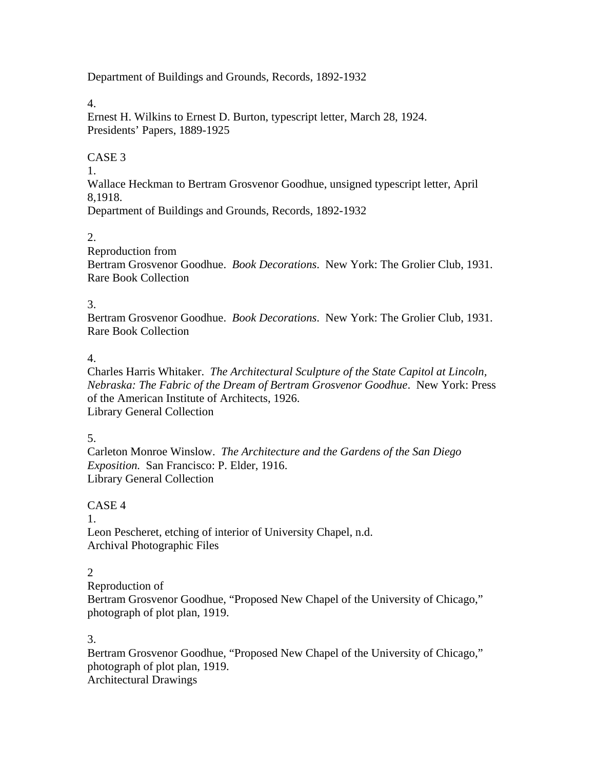Department of Buildings and Grounds, Records, 1892-1932

4.

Ernest H. Wilkins to Ernest D. Burton, typescript letter, March 28, 1924. Presidents' Papers, 1889-1925

### CASE 3

1.

Wallace Heckman to Bertram Grosvenor Goodhue, unsigned typescript letter, April 8,1918.

Department of Buildings and Grounds, Records, 1892-1932

2.

Reproduction from

Bertram Grosvenor Goodhue. *Book Decorations*. New York: The Grolier Club, 1931. Rare Book Collection

### 3.

Bertram Grosvenor Goodhue. *Book Decorations*. New York: The Grolier Club, 1931. Rare Book Collection

### 4.

Charles Harris Whitaker. *The Architectural Sculpture of the State Capitol at Lincoln, Nebraska: The Fabric of the Dream of Bertram Grosvenor Goodhue*. New York: Press of the American Institute of Architects, 1926. Library General Collection

## 5.

Carleton Monroe Winslow. *The Architecture and the Gardens of the San Diego Exposition.* San Francisco: P. Elder, 1916. Library General Collection

## CASE 4

1.

Leon Pescheret, etching of interior of University Chapel, n.d. Archival Photographic Files

## $\overline{2}$

Reproduction of

Bertram Grosvenor Goodhue, "Proposed New Chapel of the University of Chicago," photograph of plot plan, 1919.

### 3.

Bertram Grosvenor Goodhue, "Proposed New Chapel of the University of Chicago," photograph of plot plan, 1919. Architectural Drawings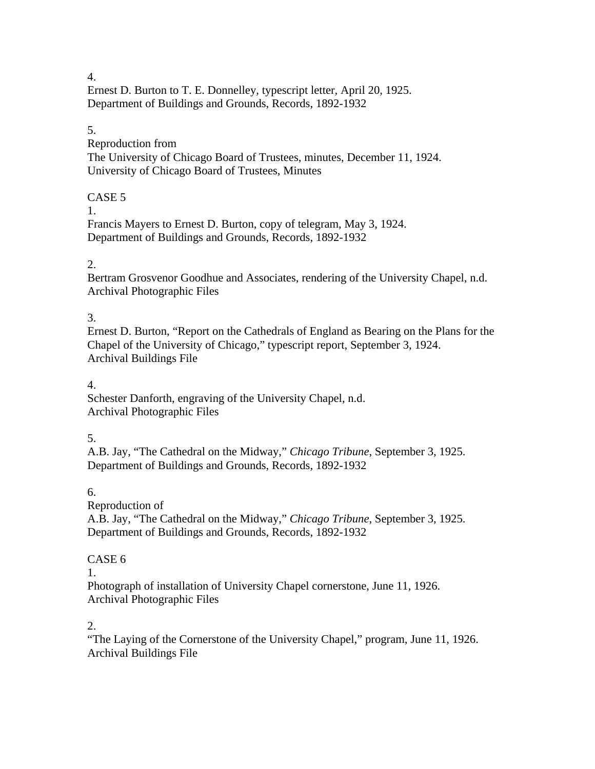Ernest D. Burton to T. E. Donnelley, typescript letter, April 20, 1925. Department of Buildings and Grounds, Records, 1892-1932

# 5.

Reproduction from The University of Chicago Board of Trustees, minutes, December 11, 1924. University of Chicago Board of Trustees, Minutes

## CASE 5

1.

Francis Mayers to Ernest D. Burton, copy of telegram, May 3, 1924. Department of Buildings and Grounds, Records, 1892-1932

### $2<sub>1</sub>$

Bertram Grosvenor Goodhue and Associates, rendering of the University Chapel, n.d. Archival Photographic Files

## 3.

Ernest D. Burton, "Report on the Cathedrals of England as Bearing on the Plans for the Chapel of the University of Chicago," typescript report, September 3, 1924. Archival Buildings File

### 4.

Schester Danforth, engraving of the University Chapel, n.d. Archival Photographic Files

### 5.

A.B. Jay, "The Cathedral on the Midway," *Chicago Tribune*, September 3, 1925. Department of Buildings and Grounds, Records, 1892-1932

## 6.

Reproduction of

A.B. Jay, "The Cathedral on the Midway," *Chicago Tribune*, September 3, 1925. Department of Buildings and Grounds, Records, 1892-1932

## CASE 6

1.

Photograph of installation of University Chapel cornerstone, June 11, 1926. Archival Photographic Files

## 2.

"The Laying of the Cornerstone of the University Chapel," program, June 11, 1926. Archival Buildings File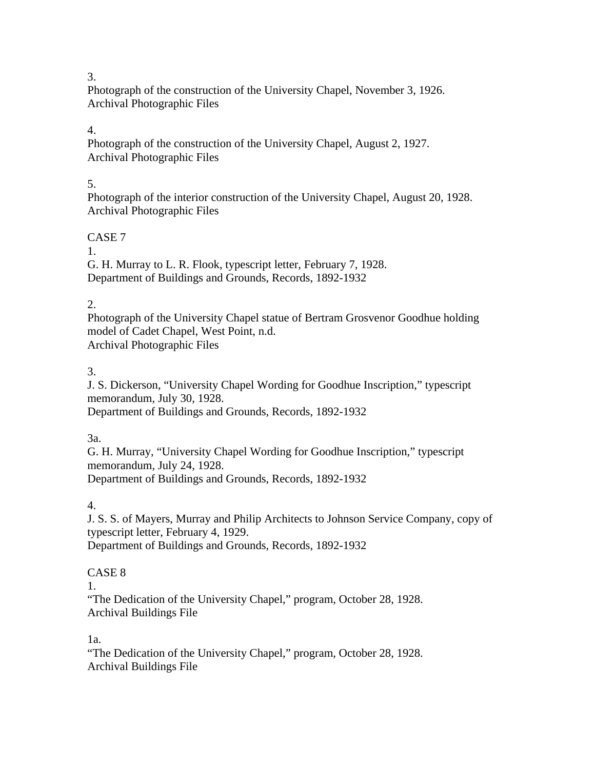Photograph of the construction of the University Chapel, November 3, 1926. Archival Photographic Files

## 4.

Photograph of the construction of the University Chapel, August 2, 1927. Archival Photographic Files

## 5.

Photograph of the interior construction of the University Chapel, August 20, 1928. Archival Photographic Files

## CASE 7

1.

G. H. Murray to L. R. Flook, typescript letter, February 7, 1928. Department of Buildings and Grounds, Records, 1892-1932

### 2.

Photograph of the University Chapel statue of Bertram Grosvenor Goodhue holding model of Cadet Chapel, West Point, n.d. Archival Photographic Files

### 3.

J. S. Dickerson, "University Chapel Wording for Goodhue Inscription," typescript memorandum, July 30, 1928. Department of Buildings and Grounds, Records, 1892-1932

### 3a.

G. H. Murray, "University Chapel Wording for Goodhue Inscription," typescript memorandum, July 24, 1928. Department of Buildings and Grounds, Records, 1892-1932

### 4.

J. S. S. of Mayers, Murray and Philip Architects to Johnson Service Company, copy of typescript letter, February 4, 1929. Department of Buildings and Grounds, Records, 1892-1932

## CASE 8

1.

"The Dedication of the University Chapel," program, October 28, 1928. Archival Buildings File

1a.

"The Dedication of the University Chapel," program, October 28, 1928. Archival Buildings File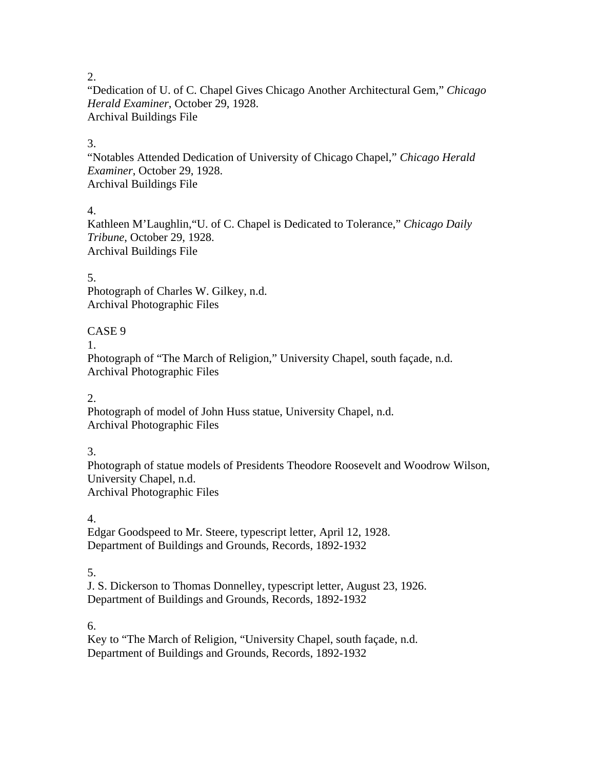"Dedication of U. of C. Chapel Gives Chicago Another Architectural Gem," *Chicago Herald Examiner*, October 29, 1928. Archival Buildings File

## 3.

"Notables Attended Dedication of University of Chicago Chapel," *Chicago Herald Examiner*, October 29, 1928. Archival Buildings File

4.

Kathleen M'Laughlin,"U. of C. Chapel is Dedicated to Tolerance," *Chicago Daily Tribune*, October 29, 1928. Archival Buildings File

5. Photograph of Charles W. Gilkey, n.d. Archival Photographic Files

# CASE 9

1.

Photograph of "The March of Religion," University Chapel, south façade, n.d. Archival Photographic Files

## $2<sup>1</sup>$

Photograph of model of John Huss statue, University Chapel, n.d. Archival Photographic Files

3.

Photograph of statue models of Presidents Theodore Roosevelt and Woodrow Wilson, University Chapel, n.d. Archival Photographic Files

4.

Edgar Goodspeed to Mr. Steere, typescript letter, April 12, 1928. Department of Buildings and Grounds, Records, 1892-1932

5.

J. S. Dickerson to Thomas Donnelley, typescript letter, August 23, 1926. Department of Buildings and Grounds, Records, 1892-1932

6.

Key to "The March of Religion, "University Chapel, south façade, n.d. Department of Buildings and Grounds, Records, 1892-1932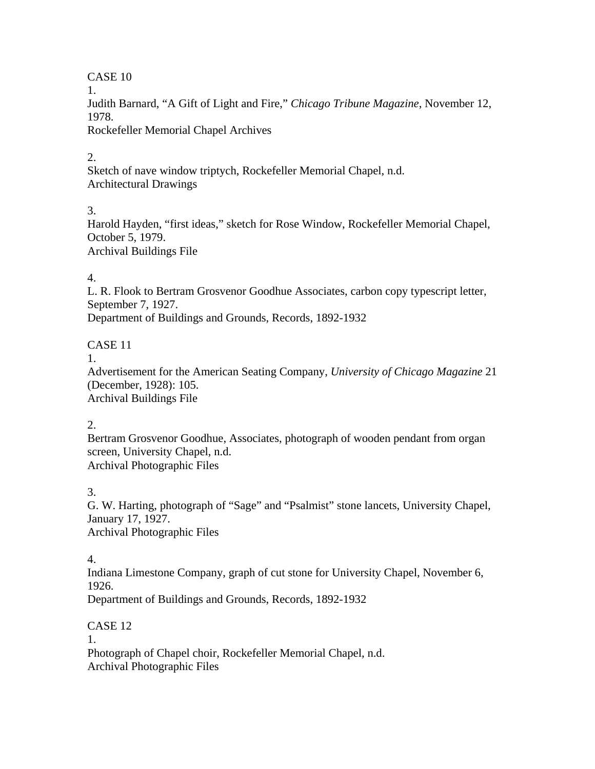CASE 10 1. Judith Barnard, "A Gift of Light and Fire," *Chicago Tribune Magazine*, November 12, 1978.

Rockefeller Memorial Chapel Archives

### 2.

Sketch of nave window triptych, Rockefeller Memorial Chapel, n.d. Architectural Drawings

### 3.

Harold Hayden, "first ideas," sketch for Rose Window, Rockefeller Memorial Chapel, October 5, 1979. Archival Buildings File

## 4.

L. R. Flook to Bertram Grosvenor Goodhue Associates, carbon copy typescript letter, September 7, 1927. Department of Buildings and Grounds, Records, 1892-1932

## CASE 11

1.

Advertisement for the American Seating Company, *University of Chicago Magazine* 21 (December, 1928): 105. Archival Buildings File

## 2.

Bertram Grosvenor Goodhue, Associates, photograph of wooden pendant from organ screen, University Chapel, n.d. Archival Photographic Files

## 3.

G. W. Harting, photograph of "Sage" and "Psalmist" stone lancets, University Chapel, January 17, 1927. Archival Photographic Files

## 4.

Indiana Limestone Company, graph of cut stone for University Chapel, November 6, 1926.

Department of Buildings and Grounds, Records, 1892-1932

# CASE 12

1.

Photograph of Chapel choir, Rockefeller Memorial Chapel, n.d. Archival Photographic Files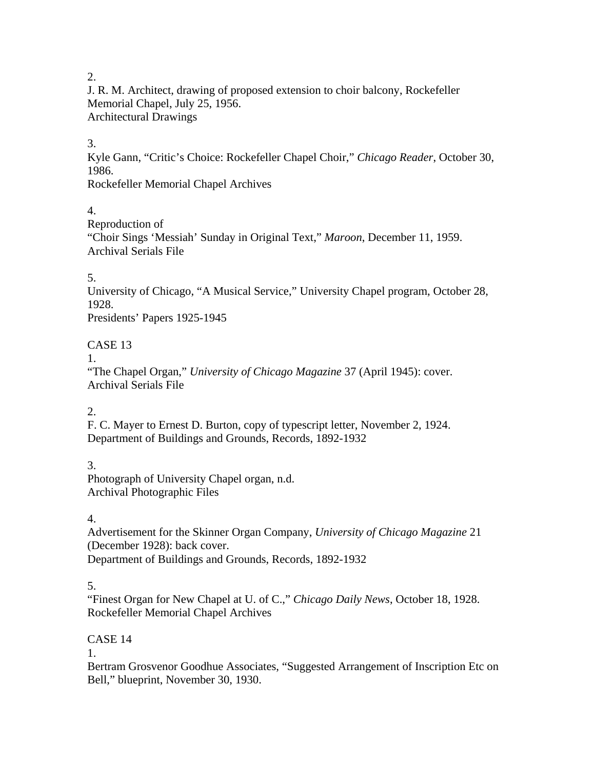J. R. M. Architect, drawing of proposed extension to choir balcony, Rockefeller Memorial Chapel, July 25, 1956. Architectural Drawings

3.

Kyle Gann, "Critic's Choice: Rockefeller Chapel Choir," *Chicago Reader*, October 30, 1986.

Rockefeller Memorial Chapel Archives

4.

Reproduction of "Choir Sings 'Messiah' Sunday in Original Text," *Maroon*, December 11, 1959. Archival Serials File

5.

University of Chicago, "A Musical Service," University Chapel program, October 28, 1928. Presidents' Papers 1925-1945

CASE 13

1.

"The Chapel Organ," *University of Chicago Magazine* 37 (April 1945): cover. Archival Serials File

2.

F. C. Mayer to Ernest D. Burton, copy of typescript letter, November 2, 1924. Department of Buildings and Grounds, Records, 1892-1932

3.

Photograph of University Chapel organ, n.d. Archival Photographic Files

4.

Advertisement for the Skinner Organ Company, *University of Chicago Magazine* 21 (December 1928): back cover. Department of Buildings and Grounds, Records, 1892-1932

5.

"Finest Organ for New Chapel at U. of C.," *Chicago Daily News*, October 18, 1928. Rockefeller Memorial Chapel Archives

# CASE 14

1.

Bertram Grosvenor Goodhue Associates, "Suggested Arrangement of Inscription Etc on Bell," blueprint, November 30, 1930.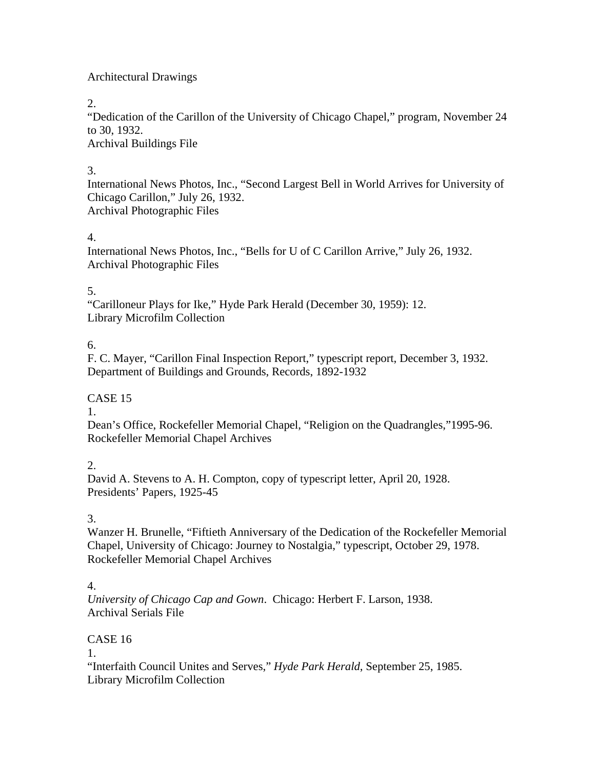### Architectural Drawings

2.

"Dedication of the Carillon of the University of Chicago Chapel," program, November 24 to 30, 1932. Archival Buildings File

3.

International News Photos, Inc., "Second Largest Bell in World Arrives for University of Chicago Carillon," July 26, 1932. Archival Photographic Files

## 4.

International News Photos, Inc., "Bells for U of C Carillon Arrive," July 26, 1932. Archival Photographic Files

## 5.

"Carilloneur Plays for Ike," Hyde Park Herald (December 30, 1959): 12. Library Microfilm Collection

6.

F. C. Mayer, "Carillon Final Inspection Report," typescript report, December 3, 1932. Department of Buildings and Grounds, Records, 1892-1932

## CASE 15

1.

Dean's Office, Rockefeller Memorial Chapel, "Religion on the Quadrangles,"1995-96. Rockefeller Memorial Chapel Archives

2.

David A. Stevens to A. H. Compton, copy of typescript letter, April 20, 1928. Presidents' Papers, 1925-45

3.

Wanzer H. Brunelle, "Fiftieth Anniversary of the Dedication of the Rockefeller Memorial Chapel, University of Chicago: Journey to Nostalgia," typescript, October 29, 1978. Rockefeller Memorial Chapel Archives

4.

*University of Chicago Cap and Gown*. Chicago: Herbert F. Larson, 1938. Archival Serials File

## CASE 16

1.

"Interfaith Council Unites and Serves," *Hyde Park Herald*, September 25, 1985. Library Microfilm Collection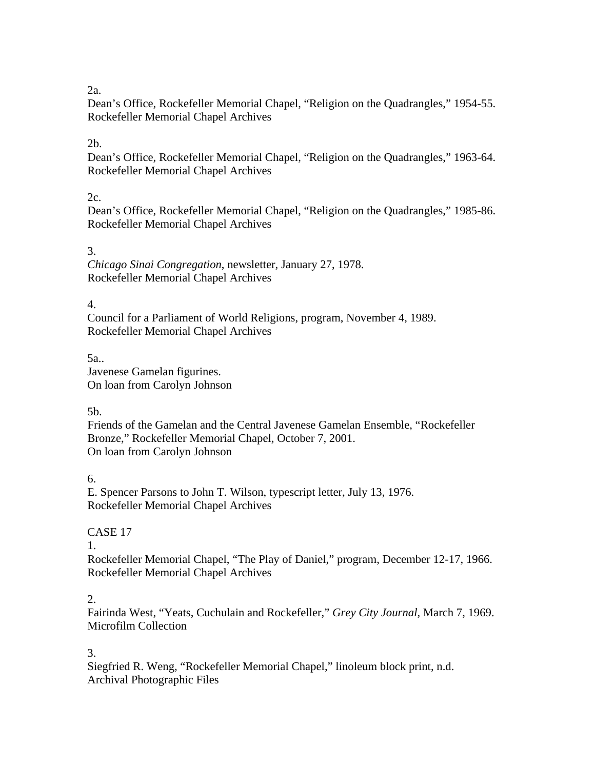2a.

Dean's Office, Rockefeller Memorial Chapel, "Religion on the Quadrangles," 1954-55. Rockefeller Memorial Chapel Archives

### 2b.

Dean's Office, Rockefeller Memorial Chapel, "Religion on the Quadrangles," 1963-64. Rockefeller Memorial Chapel Archives

2c.

Dean's Office, Rockefeller Memorial Chapel, "Religion on the Quadrangles," 1985-86. Rockefeller Memorial Chapel Archives

3.

*Chicago Sinai Congregation*, newsletter, January 27, 1978. Rockefeller Memorial Chapel Archives

4.

Council for a Parliament of World Religions, program, November 4, 1989. Rockefeller Memorial Chapel Archives

5a.. Javenese Gamelan figurines. On loan from Carolyn Johnson

5b.

Friends of the Gamelan and the Central Javenese Gamelan Ensemble, "Rockefeller Bronze," Rockefeller Memorial Chapel, October 7, 2001. On loan from Carolyn Johnson

6.

E. Spencer Parsons to John T. Wilson, typescript letter, July 13, 1976. Rockefeller Memorial Chapel Archives

CASE 17

1.

Rockefeller Memorial Chapel, "The Play of Daniel," program, December 12-17, 1966. Rockefeller Memorial Chapel Archives

2.

Fairinda West, "Yeats, Cuchulain and Rockefeller," *Grey City Journal*, March 7, 1969. Microfilm Collection

3.

Siegfried R. Weng, "Rockefeller Memorial Chapel," linoleum block print, n.d. Archival Photographic Files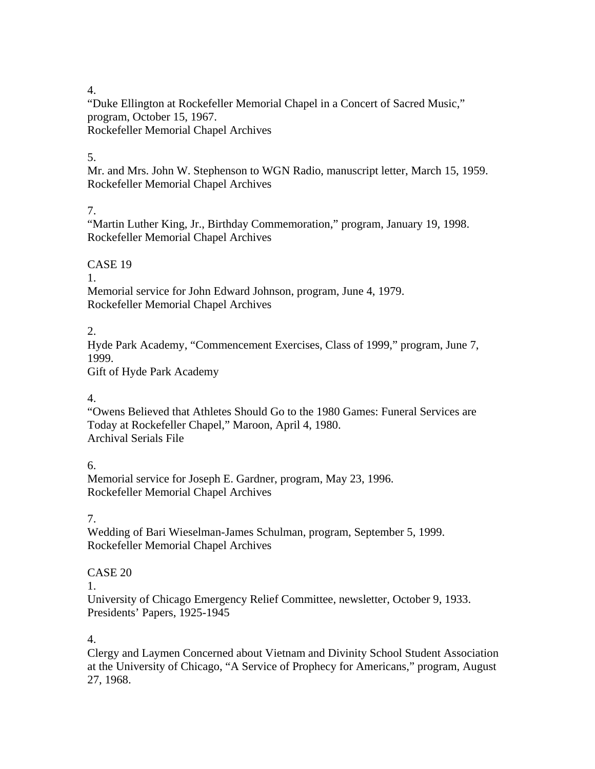"Duke Ellington at Rockefeller Memorial Chapel in a Concert of Sacred Music," program, October 15, 1967. Rockefeller Memorial Chapel Archives

### 5.

Mr. and Mrs. John W. Stephenson to WGN Radio, manuscript letter, March 15, 1959. Rockefeller Memorial Chapel Archives

### 7.

"Martin Luther King, Jr., Birthday Commemoration," program, January 19, 1998. Rockefeller Memorial Chapel Archives

## CASE 19

1.

Memorial service for John Edward Johnson, program, June 4, 1979. Rockefeller Memorial Chapel Archives

 $2<sub>1</sub>$ 

Hyde Park Academy, "Commencement Exercises, Class of 1999," program, June 7, 1999.

Gift of Hyde Park Academy

## 4.

"Owens Believed that Athletes Should Go to the 1980 Games: Funeral Services are Today at Rockefeller Chapel," Maroon, April 4, 1980. Archival Serials File

## 6.

Memorial service for Joseph E. Gardner, program, May 23, 1996. Rockefeller Memorial Chapel Archives

## 7.

Wedding of Bari Wieselman-James Schulman, program, September 5, 1999. Rockefeller Memorial Chapel Archives

## CASE 20

1.

University of Chicago Emergency Relief Committee, newsletter, October 9, 1933. Presidents' Papers, 1925-1945

## 4.

Clergy and Laymen Concerned about Vietnam and Divinity School Student Association at the University of Chicago, "A Service of Prophecy for Americans," program, August 27, 1968.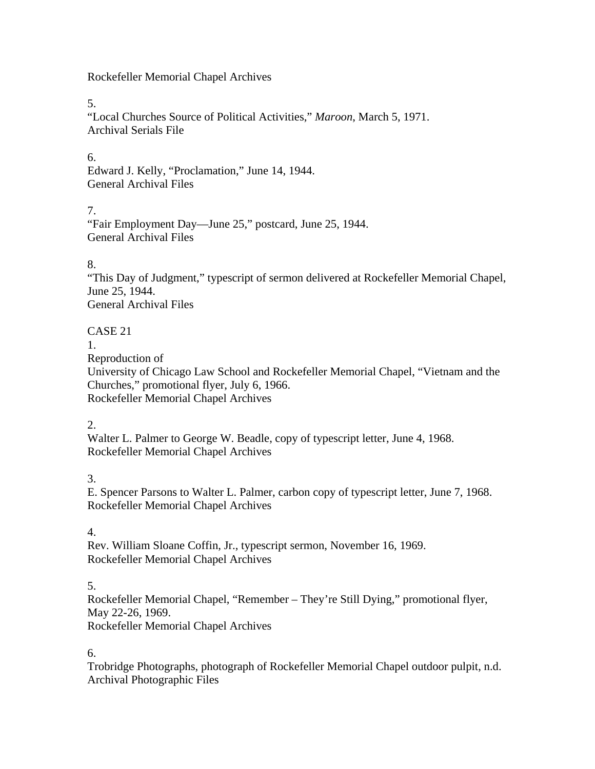Rockefeller Memorial Chapel Archives

5.

"Local Churches Source of Political Activities," *Maroon*, March 5, 1971. Archival Serials File

6.

Edward J. Kelly, "Proclamation," June 14, 1944. General Archival Files

7.

"Fair Employment Day—June 25," postcard, June 25, 1944. General Archival Files

# 8.

"This Day of Judgment," typescript of sermon delivered at Rockefeller Memorial Chapel, June 25, 1944. General Archival Files

# CASE 21

1.

Reproduction of University of Chicago Law School and Rockefeller Memorial Chapel, "Vietnam and the Churches," promotional flyer, July 6, 1966. Rockefeller Memorial Chapel Archives

2.

Walter L. Palmer to George W. Beadle, copy of typescript letter, June 4, 1968. Rockefeller Memorial Chapel Archives

3.

E. Spencer Parsons to Walter L. Palmer, carbon copy of typescript letter, June 7, 1968. Rockefeller Memorial Chapel Archives

4.

Rev. William Sloane Coffin, Jr., typescript sermon, November 16, 1969. Rockefeller Memorial Chapel Archives

5.

Rockefeller Memorial Chapel, "Remember – They're Still Dying," promotional flyer, May 22-26, 1969. Rockefeller Memorial Chapel Archives

6.

Trobridge Photographs, photograph of Rockefeller Memorial Chapel outdoor pulpit, n.d. Archival Photographic Files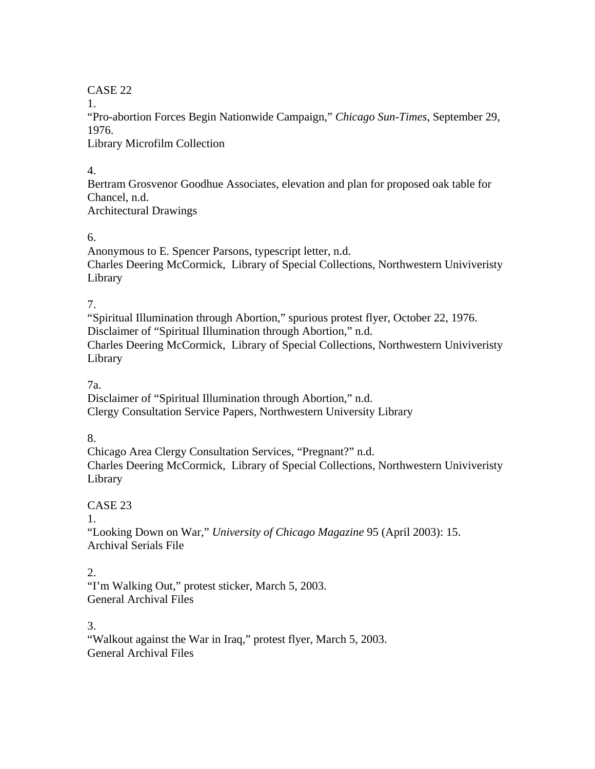## CASE 22

1.

"Pro-abortion Forces Begin Nationwide Campaign," *Chicago Sun-Times*, September 29, 1976.

Library Microfilm Collection

### 4.

Bertram Grosvenor Goodhue Associates, elevation and plan for proposed oak table for Chancel, n.d. Architectural Drawings

# 6.

Anonymous to E. Spencer Parsons, typescript letter, n.d. Charles Deering McCormick, Library of Special Collections, Northwestern Univiveristy Library

# 7.

"Spiritual Illumination through Abortion," spurious protest flyer, October 22, 1976. Disclaimer of "Spiritual Illumination through Abortion," n.d. Charles Deering McCormick, Library of Special Collections, Northwestern Univiveristy Library

# 7a.

Disclaimer of "Spiritual Illumination through Abortion," n.d. Clergy Consultation Service Papers, Northwestern University Library

## 8.

Chicago Area Clergy Consultation Services, "Pregnant?" n.d. Charles Deering McCormick, Library of Special Collections, Northwestern Univiveristy Library

# CASE 23

# 1.

"Looking Down on War," *University of Chicago Magazine* 95 (April 2003): 15. Archival Serials File

# $2<sub>1</sub>$

"I'm Walking Out," protest sticker, March 5, 2003. General Archival Files

# 3.

"Walkout against the War in Iraq," protest flyer, March 5, 2003. General Archival Files